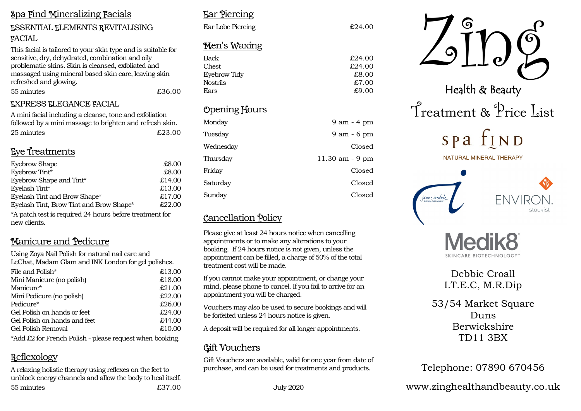#### **Spa Find Mineralizing Facials**

### **ESSENTIAL ELEMENTS REVITALISING FACIAL**

This facial is tailored to your skin type and is suitable for sensitive, dry, dehydrated, combination and oily problematic skins. Skin is cleansed, exfoliated and massaged using mineral based skin care, leaving skin refreshed and glowing. £36.00

55 minutes

#### **EXPRESS ELEGANCE FACIAL**

A mini facial including a cleanse, tone and exfoliation followed by a mini massage to brighten and refresh skin. 25 minutes  $£2300$ 

# Eve Treatments

| <b>Eyebrow Shape</b>                    | £8.00  |
|-----------------------------------------|--------|
| Eyebrow Tint*                           | £8.00  |
| Eyebrow Shape and Tint*                 | £14.00 |
| Eyelash Tint*                           | £13.00 |
| Eyelash Tint and Brow Shape*            | £17.00 |
| Eyelash Tint, Brow Tint and Brow Shape* | £22.00 |
|                                         |        |

\*A patch test is required 24 hours before treatment for new clients.

# Manicure and Pedicure

Using Zova Nail Polish for natural nail care and LeChat, Madam Glam and INK London for gel polishes.

| File and Polish*             |  | £13.00 |
|------------------------------|--|--------|
| Mini Manicure (no polish)    |  | £18.00 |
| Manicure*                    |  | £21.00 |
| Mini Pedicure (no polish)    |  | £22.00 |
| Pedicure*                    |  | £26.00 |
| Gel Polish on hands or feet  |  | £24.00 |
| Gel Polish on hands and feet |  | £44.00 |
| Gel Polish Removal           |  | £10,00 |
|                              |  |        |

\*Add £2 for French Polish - please request when booking.

# Reflexology

A relaxing holistic therapy using reflexes on the feet to unblock energy channels and allow the body to heal itself. 55 minutes  $£3700$ 

# **Far Piercing**

Wednesday

Thursday Friday

Saturday

Sundav

| Ear Lobe Piercing   | £24.00      |
|---------------------|-------------|
| <u>Men's Waxing</u> |             |
| Back                | £24.00      |
| <b>Chest</b>        | £24.00      |
| Eyebrow Tidy        | £8.00       |
| <b>Nostrils</b>     | £7.00       |
| Ears                | £9.00       |
| Opening Hours       |             |
| Monday              | 9 am - 4 pm |
| Tuesday             | 9 am - 6 pm |

Closed

Closed

Closed Closed

11.30 am - 9 pm

# **Cancellation Policy**

Please give at least 24 hours notice when cancelling appointments or to make any alterations to your booking. If 24 hours notice is not given, unless the appointment can be filled, a charge of 50% of the total treatment cost will be made

If you cannot make your appointment, or change your mind, please phone to cancel. If you fail to arrive for an appointment you will be charged.

Vouchers may also be used to secure bookings and will be forfeited unless 24 hours notice is given.

A deposit will be required for all longer appointments.

# **Gift Vouchers**

Gift Vouchers are available, valid for one vear from date of purchase, and can be used for treatments and products.



# Debbie Croall I.T.E.C, M.R.Dip

53/54 Market Square Duns **Berwickshire** TD11 3BX

# Telephone: 07890 670456

www.zinghealthandbeauty.co.uk